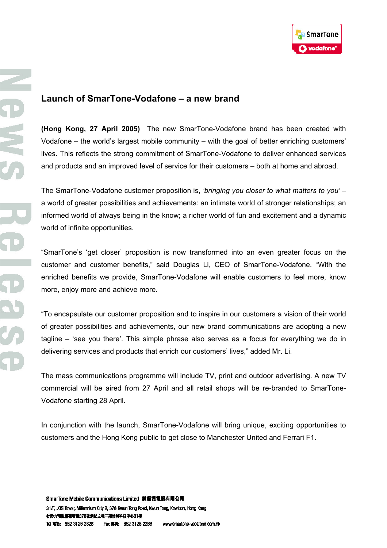

## **Launch of SmarTone-Vodafone – a new brand**

**(Hong Kong, 27 April 2005)** The new SmarTone-Vodafone brand has been created with Vodafone – the world's largest mobile community – with the goal of better enriching customers' lives. This reflects the strong commitment of SmarTone-Vodafone to deliver enhanced services and products and an improved level of service for their customers – both at home and abroad.

The SmarTone-Vodafone customer proposition is, *'bringing you closer to what matters to you'* – a world of greater possibilities and achievements: an intimate world of stronger relationships; an informed world of always being in the know; a richer world of fun and excitement and a dynamic world of infinite opportunities.

"SmarTone's 'get closer' proposition is now transformed into an even greater focus on the customer and customer benefits," said Douglas Li, CEO of SmarTone-Vodafone. "With the enriched benefits we provide, SmarTone-Vodafone will enable customers to feel more, know more, enjoy more and achieve more.

"To encapsulate our customer proposition and to inspire in our customers a vision of their world of greater possibilities and achievements, our new brand communications are adopting a new tagline – 'see you there'. This simple phrase also serves as a focus for everything we do in delivering services and products that enrich our customers' lives," added Mr. Li.

The mass communications programme will include TV, print and outdoor advertising. A new TV commercial will be aired from 27 April and all retail shops will be re-branded to SmarTone-Vodafone starting 28 April.

In conjunction with the launch, SmarTone-Vodafone will bring unique, exciting opportunities to customers and the Hong Kong public to get close to Manchester United and Ferrari F1.